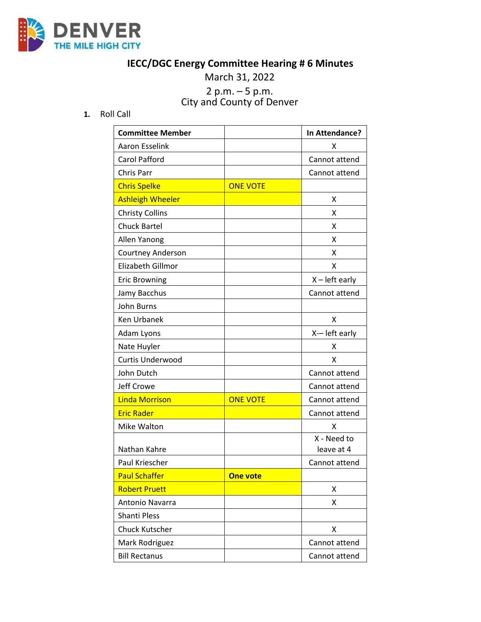

## **IECC/DGC Energy Committee Hearing # 6 Minutes**

March 31, 2022

## 2 p.m. – 5 p.m. City and County of Denver

**1.** Roll Call

| <b>Committee Member</b> |                 | In Attendance?            |
|-------------------------|-----------------|---------------------------|
| <b>Aaron Esselink</b>   |                 | X                         |
| Carol Pafford           |                 | Cannot attend             |
| Chris Parr              |                 | Cannot attend             |
| <b>Chris Spelke</b>     | <b>ONE VOTE</b> |                           |
| <b>Ashleigh Wheeler</b> |                 | Χ                         |
| <b>Christy Collins</b>  |                 | х                         |
| <b>Chuck Bartel</b>     |                 | X                         |
| Allen Yanong            |                 | x                         |
| Courtney Anderson       |                 | x                         |
| Elizabeth Gillmor       |                 | X                         |
| <b>Eric Browning</b>    |                 | $X - left$ early          |
| Jamy Bacchus            |                 | Cannot attend             |
| John Burns              |                 |                           |
| <b>Ken Urbanek</b>      |                 | X                         |
| Adam Lyons              |                 | X-- left early            |
| Nate Huyler             |                 | x                         |
| Curtis Underwood        |                 | X                         |
| John Dutch              |                 | Cannot attend             |
| Jeff Crowe              |                 | Cannot attend             |
| <b>Linda Morrison</b>   | <b>ONE VOTE</b> | Cannot attend             |
| <b>Eric Rader</b>       |                 | Cannot attend             |
| Mike Walton             |                 | X                         |
| Nathan Kahre            |                 | X - Need to<br>leave at 4 |
| Paul Kriescher          |                 | Cannot attend             |
| <b>Paul Schaffer</b>    | <b>One vote</b> |                           |
| <b>Robert Pruett</b>    |                 | x                         |
| Antonio Navarra         |                 | Χ                         |
| Shanti Pless            |                 |                           |
| <b>Chuck Kutscher</b>   |                 | Χ                         |
| Mark Rodriguez          |                 | Cannot attend             |
| <b>Bill Rectanus</b>    |                 | Cannot attend             |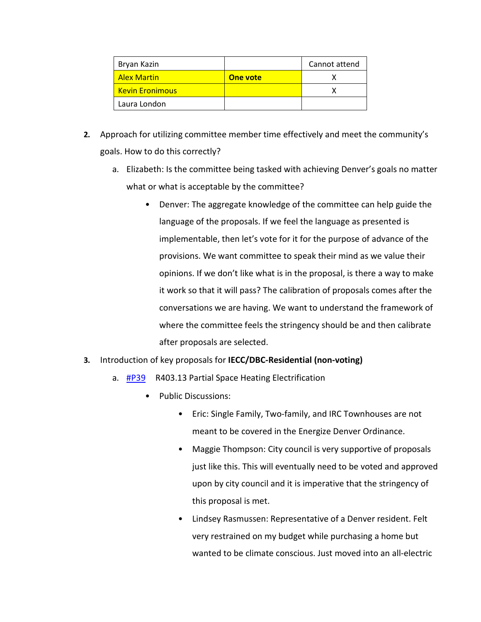| Bryan Kazin              |                 | Cannot attend |
|--------------------------|-----------------|---------------|
| <b>Alex Martin</b>       | <b>One vote</b> |               |
| <u>. Kevin Eronimous</u> |                 |               |
| Laura London             |                 |               |

- **2.** Approach for utilizing committee member time effectively and meet the community's goals. How to do this correctly?
	- a. Elizabeth: Is the committee being tasked with achieving Denver's goals no matter what or what is acceptable by the committee?
		- Denver: The aggregate knowledge of the committee can help guide the language of the proposals. If we feel the language as presented is implementable, then let's vote for it for the purpose of advance of the provisions. We want committee to speak their mind as we value their opinions. If we don't like what is in the proposal, is there a way to make it work so that it will pass? The calibration of proposals comes after the conversations we are having. We want to understand the framework of where the committee feels the stringency should be and then calibrate after proposals are selected.
- **3.** Introduction of key proposals for **IECC/DBC-Residential (non-voting)**
	- a. [#P39](https://www.denvergov.org/files/assets/public/community-planning-and-development/documents/ds/building-codes/code-adoption/amendment-proposals/iecc/iecc_r403.13_res.pdf) R403.13 Partial Space Heating Electrification
		- Public Discussions:
			- Eric: Single Family, Two-family, and IRC Townhouses are not meant to be covered in the Energize Denver Ordinance.
			- Maggie Thompson: City council is very supportive of proposals just like this. This will eventually need to be voted and approved upon by city council and it is imperative that the stringency of this proposal is met.
			- Lindsey Rasmussen: Representative of a Denver resident. Felt very restrained on my budget while purchasing a home but wanted to be climate conscious. Just moved into an all-electric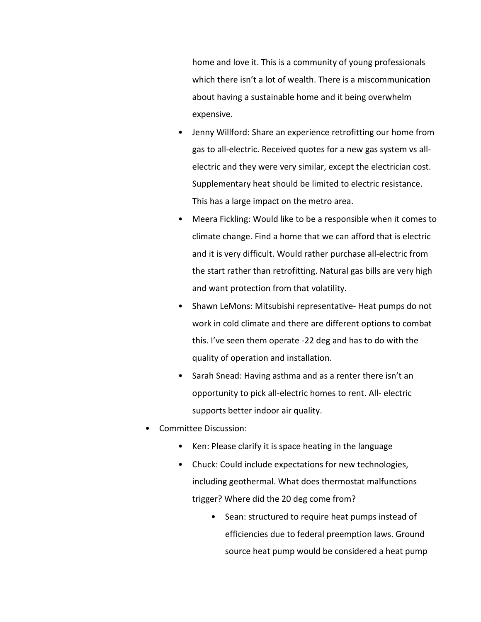home and love it. This is a community of young professionals which there isn't a lot of wealth. There is a miscommunication about having a sustainable home and it being overwhelm expensive.

- Jenny Willford: Share an experience retrofitting our home from gas to all-electric. Received quotes for a new gas system vs allelectric and they were very similar, except the electrician cost. Supplementary heat should be limited to electric resistance. This has a large impact on the metro area.
- Meera Fickling: Would like to be a responsible when it comes to climate change. Find a home that we can afford that is electric and it is very difficult. Would rather purchase all-electric from the start rather than retrofitting. Natural gas bills are very high and want protection from that volatility.
- Shawn LeMons: Mitsubishi representative- Heat pumps do not work in cold climate and there are different options to combat this. I've seen them operate -22 deg and has to do with the quality of operation and installation.
- Sarah Snead: Having asthma and as a renter there isn't an opportunity to pick all-electric homes to rent. All- electric supports better indoor air quality.
- Committee Discussion:
	- Ken: Please clarify it is space heating in the language
	- Chuck: Could include expectations for new technologies, including geothermal. What does thermostat malfunctions trigger? Where did the 20 deg come from?
		- Sean: structured to require heat pumps instead of efficiencies due to federal preemption laws. Ground source heat pump would be considered a heat pump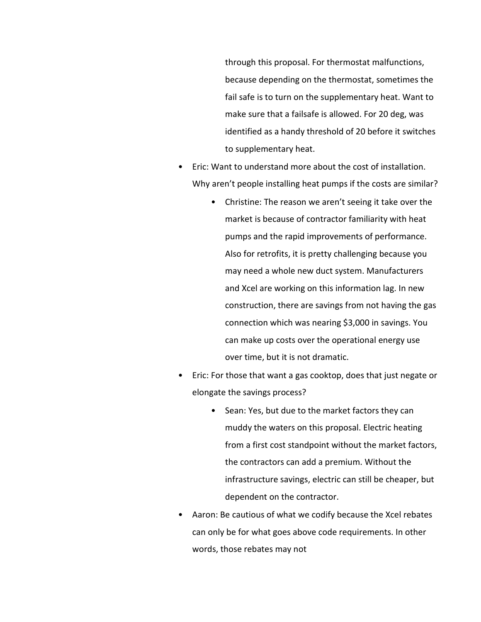through this proposal. For thermostat malfunctions, because depending on the thermostat, sometimes the fail safe is to turn on the supplementary heat. Want to make sure that a failsafe is allowed. For 20 deg, was identified as a handy threshold of 20 before it switches to supplementary heat.

- Eric: Want to understand more about the cost of installation. Why aren't people installing heat pumps if the costs are similar?
	- Christine: The reason we aren't seeing it take over the market is because of contractor familiarity with heat pumps and the rapid improvements of performance. Also for retrofits, it is pretty challenging because you may need a whole new duct system. Manufacturers and Xcel are working on this information lag. In new construction, there are savings from not having the gas connection which was nearing \$3,000 in savings. You can make up costs over the operational energy use over time, but it is not dramatic.
- Eric: For those that want a gas cooktop, does that just negate or elongate the savings process?
	- Sean: Yes, but due to the market factors they can muddy the waters on this proposal. Electric heating from a first cost standpoint without the market factors, the contractors can add a premium. Without the infrastructure savings, electric can still be cheaper, but dependent on the contractor.
- Aaron: Be cautious of what we codify because the Xcel rebates can only be for what goes above code requirements. In other words, those rebates may not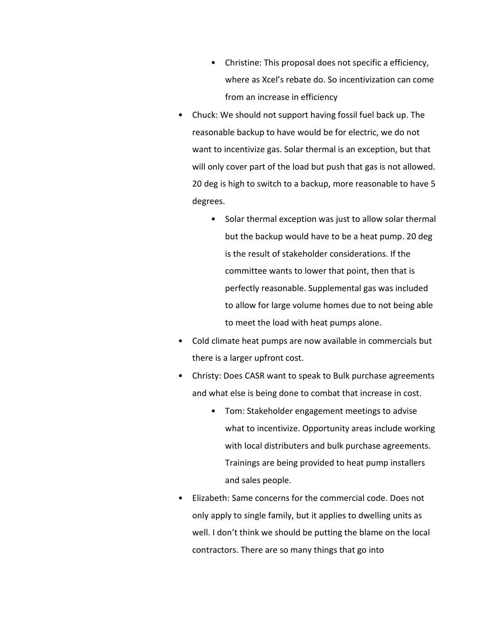- Christine: This proposal does not specific a efficiency, where as Xcel's rebate do. So incentivization can come from an increase in efficiency
- Chuck: We should not support having fossil fuel back up. The reasonable backup to have would be for electric, we do not want to incentivize gas. Solar thermal is an exception, but that will only cover part of the load but push that gas is not allowed. 20 deg is high to switch to a backup, more reasonable to have 5 degrees.
	- Solar thermal exception was just to allow solar thermal but the backup would have to be a heat pump. 20 deg is the result of stakeholder considerations. If the committee wants to lower that point, then that is perfectly reasonable. Supplemental gas was included to allow for large volume homes due to not being able to meet the load with heat pumps alone.
- Cold climate heat pumps are now available in commercials but there is a larger upfront cost.
- Christy: Does CASR want to speak to Bulk purchase agreements and what else is being done to combat that increase in cost.
	- Tom: Stakeholder engagement meetings to advise what to incentivize. Opportunity areas include working with local distributers and bulk purchase agreements. Trainings are being provided to heat pump installers and sales people.
- Elizabeth: Same concerns for the commercial code. Does not only apply to single family, but it applies to dwelling units as well. I don't think we should be putting the blame on the local contractors. There are so many things that go into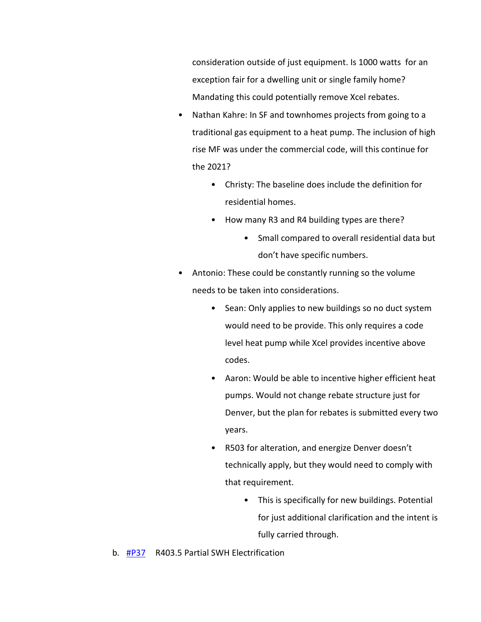consideration outside of just equipment. Is 1000 watts for an exception fair for a dwelling unit or single family home? Mandating this could potentially remove Xcel rebates.

- Nathan Kahre: In SF and townhomes projects from going to a traditional gas equipment to a heat pump. The inclusion of high rise MF was under the commercial code, will this continue for the 2021?
	- Christy: The baseline does include the definition for residential homes.
	- How many R3 and R4 building types are there?
		- Small compared to overall residential data but don't have specific numbers.
- Antonio: These could be constantly running so the volume needs to be taken into considerations.
	- Sean: Only applies to new buildings so no duct system would need to be provide. This only requires a code level heat pump while Xcel provides incentive above codes.
	- Aaron: Would be able to incentive higher efficient heat pumps. Would not change rebate structure just for Denver, but the plan for rebates is submitted every two years.
	- R503 for alteration, and energize Denver doesn't technically apply, but they would need to comply with that requirement.
		- This is specifically for new buildings. Potential for just additional clarification and the intent is fully carried through.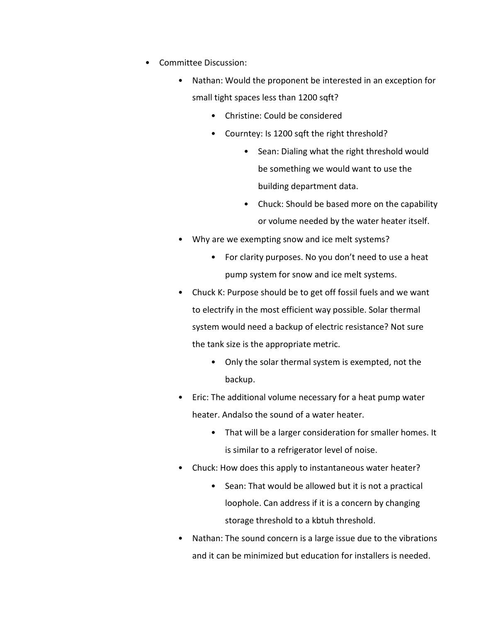- Committee Discussion:
	- Nathan: Would the proponent be interested in an exception for small tight spaces less than 1200 sqft?
		- Christine: Could be considered
		- Courntey: Is 1200 sqft the right threshold?
			- Sean: Dialing what the right threshold would be something we would want to use the building department data.
			- Chuck: Should be based more on the capability or volume needed by the water heater itself.
	- Why are we exempting snow and ice melt systems?
		- For clarity purposes. No you don't need to use a heat pump system for snow and ice melt systems.
	- Chuck K: Purpose should be to get off fossil fuels and we want to electrify in the most efficient way possible. Solar thermal system would need a backup of electric resistance? Not sure the tank size is the appropriate metric.
		- Only the solar thermal system is exempted, not the backup.
	- Eric: The additional volume necessary for a heat pump water heater. Andalso the sound of a water heater.
		- That will be a larger consideration for smaller homes. It is similar to a refrigerator level of noise.
	- Chuck: How does this apply to instantaneous water heater?
		- Sean: That would be allowed but it is not a practical loophole. Can address if it is a concern by changing storage threshold to a kbtuh threshold.
	- Nathan: The sound concern is a large issue due to the vibrations and it can be minimized but education for installers is needed.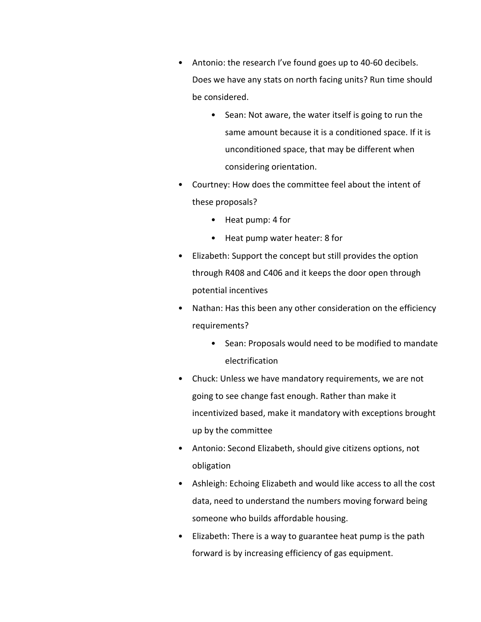- Antonio: the research I've found goes up to 40-60 decibels. Does we have any stats on north facing units? Run time should be considered.
	- Sean: Not aware, the water itself is going to run the same amount because it is a conditioned space. If it is unconditioned space, that may be different when considering orientation.
- Courtney: How does the committee feel about the intent of these proposals?
	- Heat pump: 4 for
	- Heat pump water heater: 8 for
- Elizabeth: Support the concept but still provides the option through R408 and C406 and it keeps the door open through potential incentives
- Nathan: Has this been any other consideration on the efficiency requirements?
	- Sean: Proposals would need to be modified to mandate electrification
- Chuck: Unless we have mandatory requirements, we are not going to see change fast enough. Rather than make it incentivized based, make it mandatory with exceptions brought up by the committee
- Antonio: Second Elizabeth, should give citizens options, not obligation
- Ashleigh: Echoing Elizabeth and would like access to all the cost data, need to understand the numbers moving forward being someone who builds affordable housing.
- Elizabeth: There is a way to guarantee heat pump is the path forward is by increasing efficiency of gas equipment.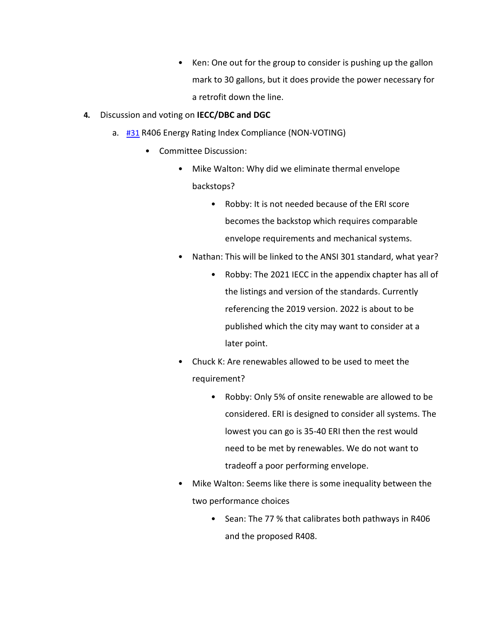- Ken: One out for the group to consider is pushing up the gallon mark to 30 gallons, but it does provide the power necessary for a retrofit down the line.
- **4.** Discussion and voting on **IECC/DBC and DGC** 
	- a. [#31](https://www.denvergov.org/files/assets/public/community-planning-and-development/documents/ds/building-codes/code-adoption/amendment-proposals/iecc/iecc_r406_res.pdf) R406 Energy Rating Index Compliance (NON-VOTING)
		- Committee Discussion:
			- Mike Walton: Why did we eliminate thermal envelope backstops?
				- Robby: It is not needed because of the ERI score becomes the backstop which requires comparable envelope requirements and mechanical systems.
			- Nathan: This will be linked to the ANSI 301 standard, what year?
				- Robby: The 2021 IECC in the appendix chapter has all of the listings and version of the standards. Currently referencing the 2019 version. 2022 is about to be published which the city may want to consider at a later point.
			- Chuck K: Are renewables allowed to be used to meet the requirement?
				- Robby: Only 5% of onsite renewable are allowed to be considered. ERI is designed to consider all systems. The lowest you can go is 35-40 ERI then the rest would need to be met by renewables. We do not want to tradeoff a poor performing envelope.
			- Mike Walton: Seems like there is some inequality between the two performance choices
				- Sean: The 77 % that calibrates both pathways in R406 and the proposed R408.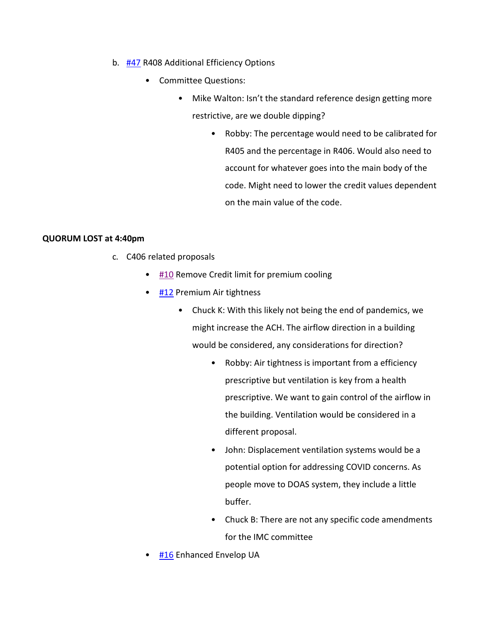- b. [#47](https://www.denvergov.org/files/assets/public/community-planning-and-development/documents/ds/building-codes/code-adoption/amendment-proposals/iecc/47_iecc_r408_option-2.pdf) R408 Additional Efficiency Options
	- Committee Questions:
		- Mike Walton: Isn't the standard reference design getting more restrictive, are we double dipping?
			- Robby: The percentage would need to be calibrated for R405 and the percentage in R406. Would also need to account for whatever goes into the main body of the code. Might need to lower the credit values dependent on the main value of the code.

## **QUORUM LOST at 4:40pm**

- c. C406 related proposals
	- [#10](https://www.denvergov.org/files/assets/public/community-planning-and-development/documents/ds/building-codes/code-adoption/amendment-proposals/dgc/10-c406.2.5-remove-c406-credit-limit-for-premium-cooling.pdf) Remove Credit limit for premium cooling
	- [#12](https://www.denvergov.org/files/assets/public/community-planning-and-development/documents/ds/building-codes/code-adoption/amendment-proposals/dgc/12-c406.9-premium-air-tightness-credit-option.pdf) Premium Air tightness
		- Chuck K: With this likely not being the end of pandemics, we might increase the ACH. The airflow direction in a building would be considered, any considerations for direction?
			- Robby: Air tightness is important from a efficiency prescriptive but ventilation is key from a health prescriptive. We want to gain control of the airflow in the building. Ventilation would be considered in a different proposal.
			- John: Displacement ventilation systems would be a potential option for addressing COVID concerns. As people move to DOAS system, they include a little buffer.
			- Chuck B: There are not any specific code amendments for the IMC committee
	- [#16](https://www.denvergov.org/files/assets/public/community-planning-and-development/documents/ds/building-codes/code-adoption/amendment-proposals/iecc/16_iecc_c406.8_enhanced-envelope-ua-credit.pdf) Enhanced Envelop UA